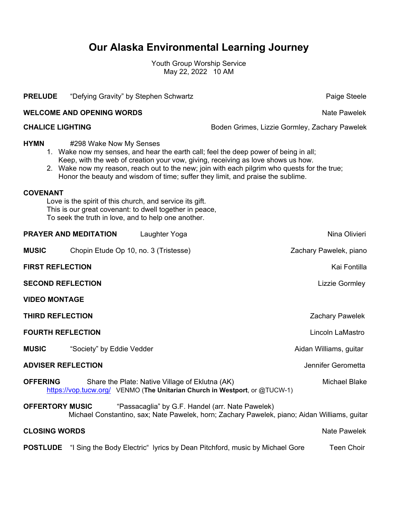## **Our Alaska Environmental Learning Journey**

Youth Group Worship Service May 22, 2022 10 AM

| <b>PRELUDE</b>                                                                                                                                                                                                                                                                                                                                                                                        | "Defying Gravity" by Stephen Schwartz   |                                                 |                                                                            | Paige Steele           |  |
|-------------------------------------------------------------------------------------------------------------------------------------------------------------------------------------------------------------------------------------------------------------------------------------------------------------------------------------------------------------------------------------------------------|-----------------------------------------|-------------------------------------------------|----------------------------------------------------------------------------|------------------------|--|
| <b>WELCOME AND OPENING WORDS</b><br>Nate Pawelek                                                                                                                                                                                                                                                                                                                                                      |                                         |                                                 |                                                                            |                        |  |
|                                                                                                                                                                                                                                                                                                                                                                                                       | <b>CHALICE LIGHTING</b>                 |                                                 | Boden Grimes, Lizzie Gormley, Zachary Pawelek                              |                        |  |
| <b>HYMN</b><br>#298 Wake Now My Senses<br>1. Wake now my senses, and hear the earth call; feel the deep power of being in all;<br>Keep, with the web of creation your vow, giving, receiving as love shows us how.<br>2. Wake now my reason, reach out to the new; join with each pilgrim who quests for the true;<br>Honor the beauty and wisdom of time; suffer they limit, and praise the sublime. |                                         |                                                 |                                                                            |                        |  |
| <b>COVENANT</b><br>Love is the spirit of this church, and service its gift.<br>This is our great covenant: to dwell together in peace,<br>To seek the truth in love, and to help one another.                                                                                                                                                                                                         |                                         |                                                 |                                                                            |                        |  |
|                                                                                                                                                                                                                                                                                                                                                                                                       | <b>PRAYER AND MEDITATION</b>            | Laughter Yoga                                   |                                                                            | Nina Olivieri          |  |
| <b>MUSIC</b>                                                                                                                                                                                                                                                                                                                                                                                          | Chopin Etude Op 10, no. 3 (Tristesse)   |                                                 |                                                                            | Zachary Pawelek, piano |  |
|                                                                                                                                                                                                                                                                                                                                                                                                       | <b>FIRST REFLECTION</b><br>Kai Fontilla |                                                 |                                                                            |                        |  |
| <b>SECOND REFLECTION</b>                                                                                                                                                                                                                                                                                                                                                                              |                                         |                                                 |                                                                            | Lizzie Gormley         |  |
| <b>VIDEO MONTAGE</b>                                                                                                                                                                                                                                                                                                                                                                                  |                                         |                                                 |                                                                            |                        |  |
| <b>THIRD REFLECTION</b>                                                                                                                                                                                                                                                                                                                                                                               |                                         |                                                 | <b>Zachary Pawelek</b>                                                     |                        |  |
| <b>FOURTH REFLECTION</b>                                                                                                                                                                                                                                                                                                                                                                              |                                         |                                                 | Lincoln LaMastro                                                           |                        |  |
| <b>MUSIC</b>                                                                                                                                                                                                                                                                                                                                                                                          | "Society" by Eddie Vedder               |                                                 |                                                                            | Aidan Williams, guitar |  |
| <b>ADVISER REFLECTION</b>                                                                                                                                                                                                                                                                                                                                                                             |                                         |                                                 | Jennifer Gerometta                                                         |                        |  |
| <b>OFFERING</b>                                                                                                                                                                                                                                                                                                                                                                                       |                                         | Share the Plate: Native Village of Eklutna (AK) | https://vop.tucw.org/ VENMO (The Unitarian Church in Westport, or @TUCW-1) | <b>Michael Blake</b>   |  |
| "Passacaglia" by G.F. Handel (arr. Nate Pawelek)<br><b>OFFERTORY MUSIC</b><br>Michael Constantino, sax; Nate Pawelek, horn; Zachary Pawelek, piano; Aidan Williams, guitar                                                                                                                                                                                                                            |                                         |                                                 |                                                                            |                        |  |
| <b>CLOSING WORDS</b>                                                                                                                                                                                                                                                                                                                                                                                  |                                         |                                                 |                                                                            | Nate Pawelek           |  |
| <b>POSTLUDE</b>                                                                                                                                                                                                                                                                                                                                                                                       |                                         |                                                 | "I Sing the Body Electric" lyrics by Dean Pitchford, music by Michael Gore | Teen Choir             |  |